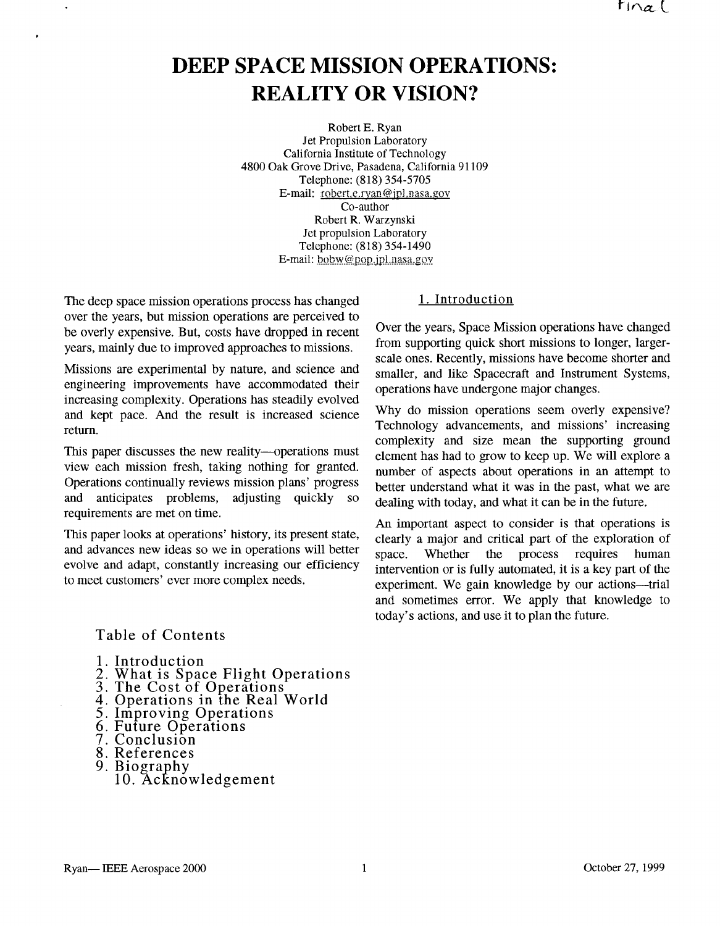# **DEEP SPACE MISSION OPERATIONS: REALITY OR VISION?**

Robert E. Ryan Jet Propulsion Laboratory California Institute of Technology 4800 Oak Grove Drive, Pasadena, California 91 109 Telephone: (818) 354-5705 E-mail: robert.e.ryan@jpl.nasa.gov Co-author Robert R. Warzynski Jet propulsion Laboratory Telephone: (818) 354-1490 E-mail: bobw@pop.ipl.nasa.gov

The deep space mission operations process has changed over the years, but mission operations are perceived to be overly expensive. But, costs have dropped in recent years, mainly due to improved approaches to missions.

Missions are experimental by nature, and science and engineering improvements have accommodated their increasing complexity. Operations has steadily evolved and kept pace. And the result is increased science return.

This paper discusses the new reality---operations must view each mission fresh, taking nothing for granted. Operations continually reviews mission plans' progress and anticipates problems, adjusting quickly so requirements are met on time.

This paper looks at operations' history, its present state, and advances new ideas so we in operations will better evolve and adapt, constantly increasing our efficiency to meet customers' ever more complex needs.

## 1. Introduction

Over the years, Space Mission operations have changed from supporting quick short missions to longer, largerscale ones. Recently, missions have become shorter and smaller, and like Spacecraft and Instrument Systems, operations have undergone major changes.

Why do mission operations seem overly expensive? Technology advancements, and missions' increasing complexity and size mean the supporting ground element has had to grow to keep up. We will explore a number of aspects about operations in an attempt to better understand what it was in the past, what we are dealing with today, and what it can be in the future.

An important aspect to consider is that operations is clearly a major and critical part of the exploration of space. Whether the process requires human intervention or is fully automated, it is a key part of the experiment. We gain knowledge by our actions—trial and sometimes error. We apply that knowledge to today's actions, and use it to plan the future.

## Table of Contents

- **1.** Introduction
- 2. What is Space Flight Operations<br>3. The Cost of Operations<br>4. Operations in the Real World<br>5. Improving Operations<br>6. Future Operations<br>7. Conclusion
- 
- 
- 
- 
- 8. References
- 
- 9. Biography
	- 10. Acknowledgement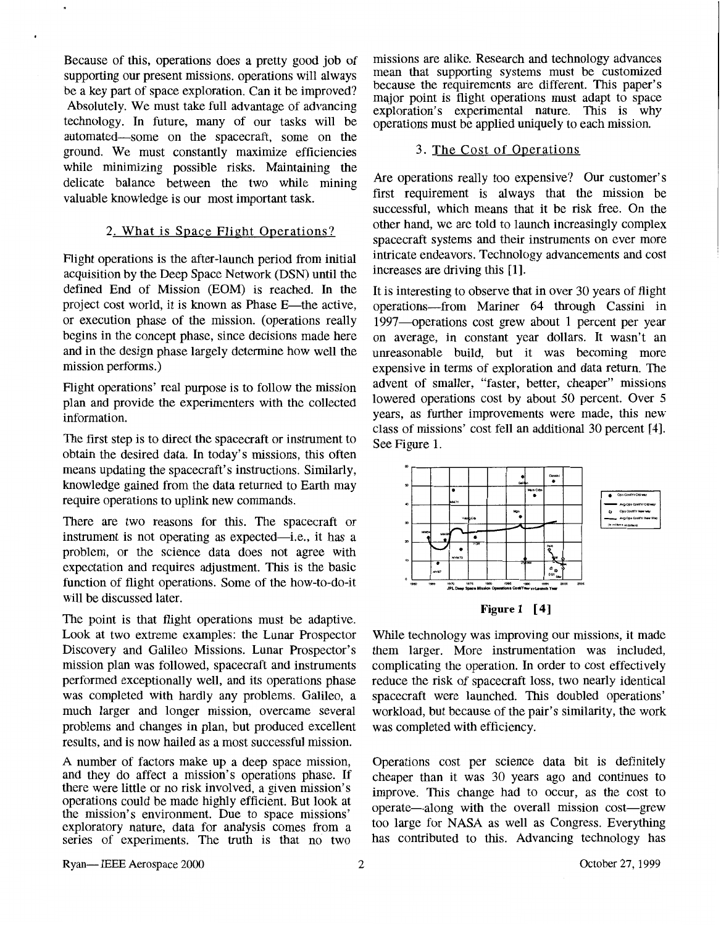Because of this, operations does a pretty good job of supporting our present missions. operations will always be a key part of space exploration. Can it be improved? Absolutely. We must take full advantage of advancing technology. In future, many of our tasks will be automated-some on the spacecraft, some on the ground. We must constantly maximize efficiencies while minimizing possible risks. Maintaining the delicate balance between the two while mining valuable knowledge is our most important task.

## 2. What is Space Flight Operations?

Flight operations is the after-launch period from initial acquisition by the Deep Space Network (DSN) until the defined End of Mission (EOM) is reached. In the project cost world, it is known as Phase E—the active, or execution phase of the mission. (operations really begins in the concept phase, since decisions made here and in the design phase largely determine how well the mission performs.)

Flight operations' real purpose is to follow the mission plan and provide the experimenters with the collected information.

The first step is to direct the spacecraft or instrument to obtain the desired data. In today's missions, this often means updating the spacecraft's instructions. Similarly, knowledge gained from the data returned to Earth may require operations to uplink new commands.

There are two reasons for this. The spacecraft or instrument is not operating as expected—i.e., it has a problem, or the science data does not agree with expectation and requires adjustment. This is the basic function of flight operations. Some of the how-to-do-it will be discussed later.

The point is that flight operations must be adaptive. Look at two extreme examples: the Lunar Prospector Discovery and Galileo Missions. Lunar Prospector's mission plan was followed, spacecraft and instruments performed exceptionally well, and its operations phase was completed with hardly any problems. Galileo, a much larger and longer mission, overcame several problems and changes in plan, but produced excellent results, and is now hailed as a most successful mission.

A number of factors make up a deep space mission, and they do affect a mission's operations phase. If there were little or no risk involved, a given mission's operations could be made highly efficient. But look at the mission's environment. Due to space missions' exploratory nature, data for analysis comes from a series of experiments. The truth is that no two

missions are alike. Research and technology advances mean that supporting systems must be customized because the requirements are different. This paper's major point is flight operations must adapt to space exploration's experimental nature. This is why operations must be applied uniquely to each mission.

## 3. The Cost of Operations

Are operations really too expensive? Our customer's first requirement is always that the mission be successful, which means that it be risk free. On the other hand, we are told to launch increasingly complex spacecraft systems and their instruments on ever more intricate endeavors. Technology advancements and cost increases are driving this [l].

It is interesting to observe that in over 30 years of flight operations-from Mariner 64 through Cassini in 1997—operations cost grew about 1 percent per year on average, in constant year dollars. It wasn't an unreasonable build, but it was becoming more expensive in terms of exploration and data return. The advent of smaller, "faster, better, cheaper" missions lowered operations cost by about 50 percent. Over 5 years, as further improvements were made, this new class of missions' cost fell an additional 30 percent [4]. See Figure 1.



**Figure 1** [4]

While technology was improving our missions, it made them larger. More instrumentation was included, complicating the operation. In order to cost effectively reduce the risk of spacecraft loss, two nearly identical spacecraft were launched. This doubled operations' workload, but because of the pair's similarity, the work was completed with efficiency.

Operations cost per science data bit is definitely cheaper than it was 30 years ago and continues to improve. This change had to occur, as the cost to operate-along with the overall mission cost-grew too large for NASA as well as Congress. Everything has contributed to this. Advancing technology has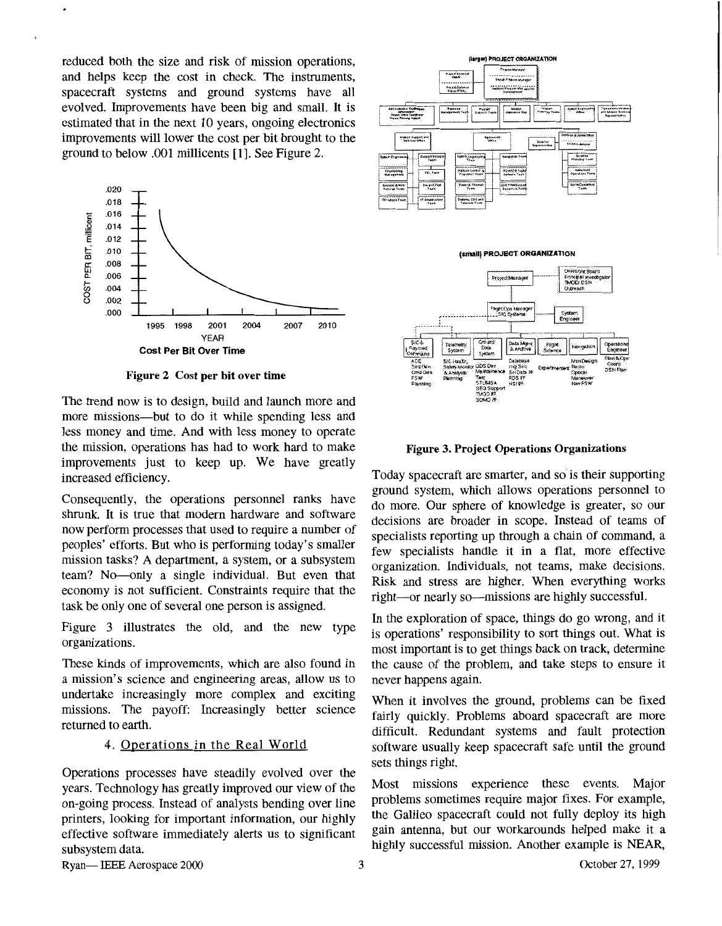reduced both the size and risk of mission operations, and helps keep the cost in check. The instruments, spacecraft systems and ground systems have all evolved. Improvements have been big and small. It is estimated that in the next 10 years, ongoing electronics improvements will lower the cost per bit brought to the



**Figure 2 Cost per bit over time** 

The trend now is to design, build and launch more and more missions—but to do it while spending less and less money and time. And with less money to operate the mission, operations has had to work hard to make improvements just to keep up. We have greatly increased efficiency.

Consequently, the operations personnel ranks have shrunk. It is true that modern hardware and software now perform processes that used to require a number of peoples' efforts. But who is performing today's smaller mission tasks? A department, a system, or a subsystem team? No-only a single individual. But even that economy is not sufficient. Constraints require that the task be only one of several one person is assigned.

Figure 3 illustrates the old, and the new type organizations.

These kinds of improvements, which are also found in a mission's science and engineering areas, allow us to undertake increasingly more complex and exciting missions. The payoff: Increasingly better science returned to earth.

## 4. Operations in the Real World

Operations processes have steadily evolved over the years. Technology has greatly improved our view of the on-going process. Instead of analysts bending over line printers, looking for important information, our highly effective software immediately alerts us to significant subsystem data.





#### **Figure 3. Project Operations Organizations**

Today spacecraft are smarter, and so is their supporting ground system, which allows operations personnel to do more. Our sphere of knowledge is greater, so our decisions are broader in scope. Instead of teams of specialists reporting up through a chain of command, a few specialists handle it in a flat, more effective organization. Individuals, not teams, make decisions. Risk and stress are higher. When everything works right—or nearly so—missions are highly successful.

In the exploration of space, things do go wrong, and it is operations' responsibility to sort things out. What is most important is to get things back on track, determine the cause of the problem, and take steps to ensure it never happens again.

When it involves the ground, problems can be fixed fairly quickly. Problems aboard spacecraft are more difficult. Redundant systems and fault protection software usually keep spacecraft safe until the ground sets things right.

Most missions experience these events. Major problems sometimes require major fixes. For example, the Galileo spacecraft could not fully deploy its high gain antenna, but our workarounds helped make it a highly successful mission. Another example is NEAR,

Ryan-IEEE Aerospace 2000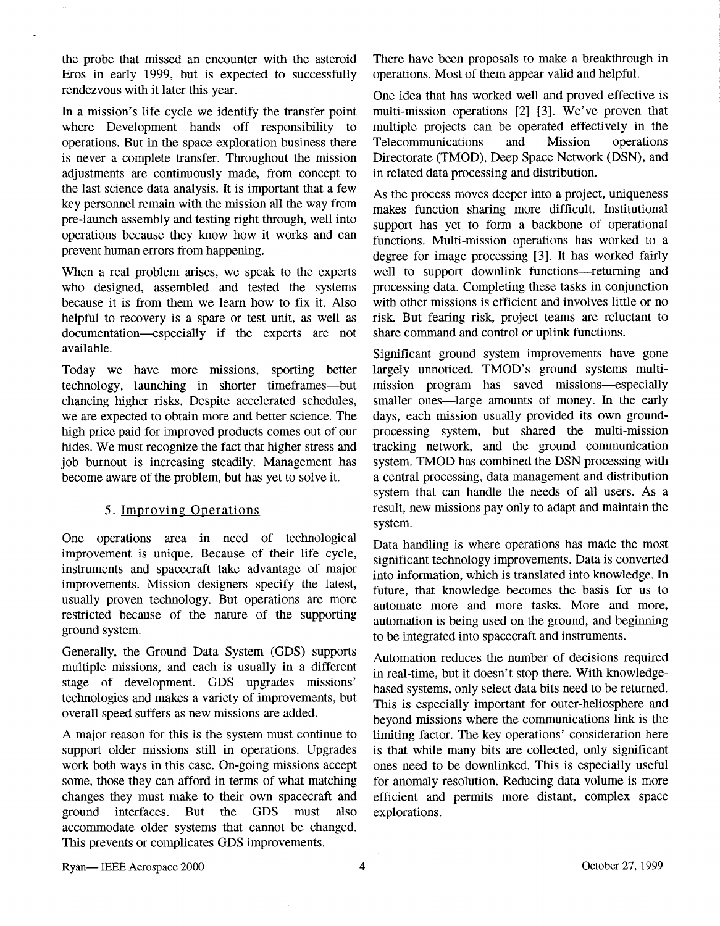the probe that missed an encounter with the asteroid Eros in early 1999, but is expected to successfully rendezvous with it later this year.

In a mission's life cycle we identify the transfer point where Development hands off responsibility to operations. But in the space exploration business there is never a complete transfer. Throughout the mission adjustments are continuously made, from concept to the last science data analysis. It is important that a few key personnel remain with the mission all the way from pre-launch assembly and testing right through, well into operations because they know how it works and can prevent human errors from happening.

When a real problem arises, we speak to the experts who designed, assembled and tested the systems because it is from them we learn how to fix it. Also helpful to recovery is a spare or test unit, as well as documentation-especially if the experts are not available.

Today we have more missions, sporting better technology, launching in shorter timeframes-but chancing higher risks. Despite accelerated schedules, we are expected to obtain more and better science. The high price paid for improved products comes out of our hides. We must recognize the fact that higher stress and job burnout is increasing steadily. Management has become aware of the problem, but has yet to solve it.

## 5. Improving Operations

One operations area in need of technological improvement is unique. Because of their life cycle, instruments and spacecraft take advantage of major improvements. Mission designers specify the latest, usually proven technology. But operations are more restricted because of the nature of the supporting ground system.

Generally, the Ground Data System (GDS) supports multiple missions, and each is usually in a different stage of development. GDS upgrades missions' technologies and makes a variety of improvements, but overall speed suffers as new missions are added.

A major reason for this is the system must continue to support older missions still in operations. Upgrades work both ways in this case. On-going missions accept some, those they can afford in terms of what matching changes they must make to their own spacecraft and ground interfaces. But the GDS must also accommodate older systems that cannot be changed. This prevents or complicates GDS improvements.

There have been proposals to make a breakthrough in operations. Most of them appear valid and helpful.

One idea that has worked well and proved effective is multi-mission operations [2] [3]. We've proven that multiple projects can be operated effectively in the Telecommunications and Mission operations Directorate (TMOD), Deep Space Network (DSN), and in related data processing and distribution.

**As** the process moves deeper into a project, uniqueness makes function sharing more difficult. Institutional support has yet to form a backbone of operational functions. Multi-mission operations has worked to a degree for image processing **[3].** It has worked fairly well to support downlink functions-returning and processing data. Completing these tasks in conjunction with other missions is efficient and involves little or no risk. But fearing risk, project teams are reluctant to share command and control or uplink functions.

Significant ground system improvements have gone largely unnoticed. TMOD's ground systems multimission program has saved missions—especially smaller ones—large amounts of money. In the early days, each mission usually provided its own groundprocessing system, but shared the multi-mission tracking network, and the ground communication system. TMOD has combined the DSN processing with a central processing, data management and distribution system that can handle the needs of all users. **As** a result, new missions pay only to adapt and maintain the system.

Data handling is where operations has made the most significant technology improvements. Data is converted into information, which is translated into knowledge. In future, that knowledge becomes the basis for us to automate more and more tasks. More and more, automation is being used on the ground, and beginning to be integrated into spacecraft and instruments.

Automation reduces the number of decisions required in real-time, but it doesn't stop there. With knowledgebased systems, only select data bits need to be returned. This is especially important for outer-heliosphere and beyond missions where the communications link is the limiting factor. The key operations' consideration here is that while many bits are collected, only significant ones need to be downlinked. This is especially useful for anomaly resolution. Reducing data volume is more efficient and permits more distant, complex space explorations.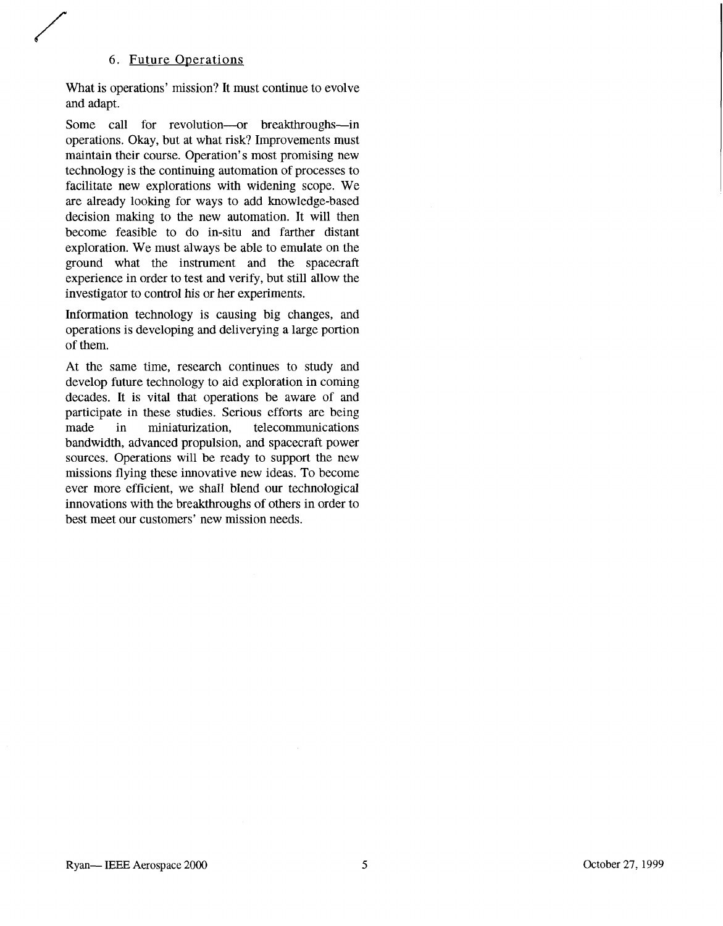#### 6. Future Operations

What is operations' mission? It must continue to evolve and adapt.

Some call for revolution---or breakthroughs---in operations. Okay, but at what risk? Improvements must maintain their course. Operation's most promising new technology is the continuing automation of processes to facilitate new explorations with widening scope. We are already looking for ways to add knowledge-based decision making to the new automation. It will then become feasible to do in-situ and farther distant exploration. We must always be able to emulate on the ground what the instrument and the spacecraft experience in order to test and verify, but still allow the investigator to control his or her experiments.

Information technology is causing big changes, and operations is developing and deliverying a large portion of them.

At the same time, research continues to study and develop future technology to aid exploration in coming decades. It is vital that operations be aware of and participate in these studies. Serious efforts are being made in miniaturization, telecommunications bandwidth, advanced propulsion, and spacecraft power sources. Operations will be ready to support the new missions flying these innovative new ideas. To become ever more efficient, we shall blend our technological innovations with the breakthroughs of others in order to best meet our customers' new mission needs.